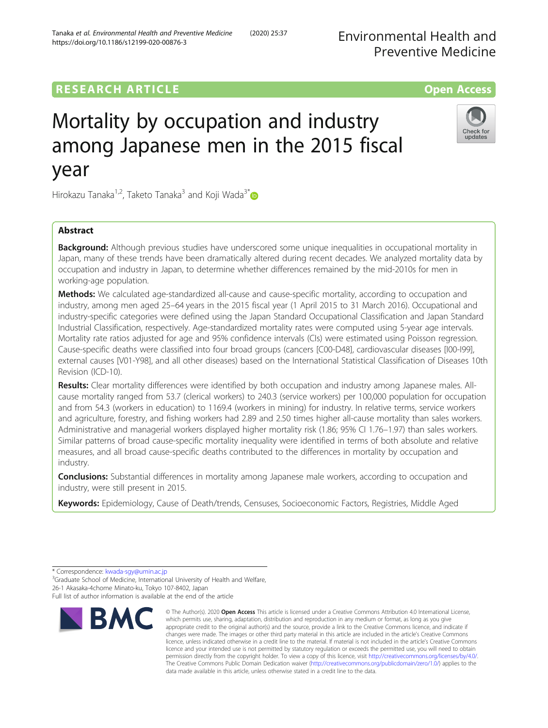# **RESEARCH ARTICLE Example 2014 12:30 The Contract of Contract ACCESS**

# Mortality by occupation and industry among Japanese men in the 2015 fiscal year

Hirokazu Tanaka<sup>1,2</sup>, Taketo Tanaka<sup>3</sup> and Koji Wada<sup>3\*</sup>

# Abstract

**Background:** Although previous studies have underscored some unique inequalities in occupational mortality in Japan, many of these trends have been dramatically altered during recent decades. We analyzed mortality data by occupation and industry in Japan, to determine whether differences remained by the mid-2010s for men in working-age population.

Methods: We calculated age-standardized all-cause and cause-specific mortality, according to occupation and industry, among men aged 25–64 years in the 2015 fiscal year (1 April 2015 to 31 March 2016). Occupational and industry-specific categories were defined using the Japan Standard Occupational Classification and Japan Standard Industrial Classification, respectively. Age-standardized mortality rates were computed using 5-year age intervals. Mortality rate ratios adjusted for age and 95% confidence intervals (CIs) were estimated using Poisson regression. Cause-specific deaths were classified into four broad groups (cancers [C00-D48], cardiovascular diseases [I00-I99], external causes [V01-Y98], and all other diseases) based on the International Statistical Classification of Diseases 10th Revision (ICD-10).

Results: Clear mortality differences were identified by both occupation and industry among Japanese males. Allcause mortality ranged from 53.7 (clerical workers) to 240.3 (service workers) per 100,000 population for occupation and from 54.3 (workers in education) to 1169.4 (workers in mining) for industry. In relative terms, service workers and agriculture, forestry, and fishing workers had 2.89 and 2.50 times higher all-cause mortality than sales workers. Administrative and managerial workers displayed higher mortality risk (1.86; 95% CI 1.76–1.97) than sales workers. Similar patterns of broad cause-specific mortality inequality were identified in terms of both absolute and relative measures, and all broad cause-specific deaths contributed to the differences in mortality by occupation and industry.

**Conclusions:** Substantial differences in mortality among Japanese male workers, according to occupation and industry, were still present in 2015.

Keywords: Epidemiology, Cause of Death/trends, Censuses, Socioeconomic Factors, Registries, Middle Aged

\* Correspondence: [kwada-sgy@umin.ac.jp](mailto:kwada-sgy@umin.ac.jp) <sup>3</sup>

**BMC** 

<sup>3</sup>Graduate School of Medicine, International University of Health and Welfare, 26-1 Akasaka-4chome Minato-ku, Tokyo 107-8402, Japan Full list of author information is available at the end of the article





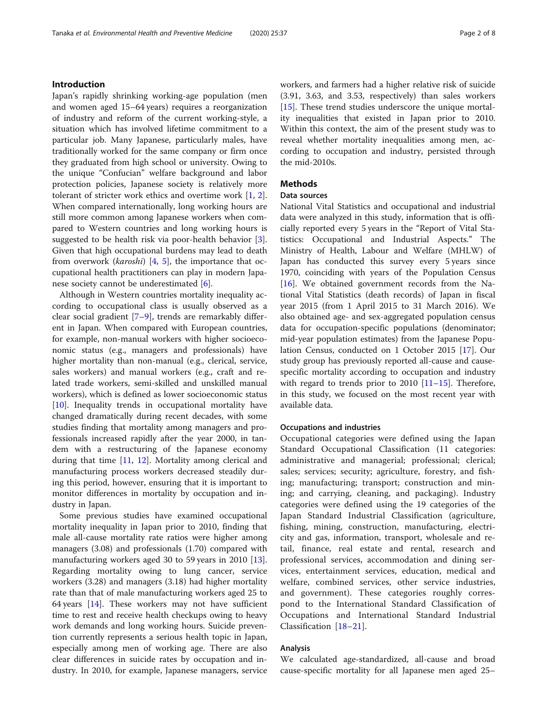#### Introduction

Japan's rapidly shrinking working-age population (men and women aged 15–64 years) requires a reorganization of industry and reform of the current working-style, a situation which has involved lifetime commitment to a particular job. Many Japanese, particularly males, have traditionally worked for the same company or firm once they graduated from high school or university. Owing to the unique "Confucian" welfare background and labor protection policies, Japanese society is relatively more tolerant of stricter work ethics and overtime work [\[1,](#page-7-0) [2](#page-7-0)]. When compared internationally, long working hours are still more common among Japanese workers when compared to Western countries and long working hours is suggested to be health risk via poor-health behavior [\[3](#page-7-0)]. Given that high occupational burdens may lead to death from overwork (*karoshi*) [\[4](#page-7-0), [5](#page-7-0)], the importance that occupational health practitioners can play in modern Japanese society cannot be underestimated [\[6](#page-7-0)].

Although in Western countries mortality inequality according to occupational class is usually observed as a clear social gradient [\[7](#page-7-0)–[9](#page-7-0)], trends are remarkably different in Japan. When compared with European countries, for example, non-manual workers with higher socioeconomic status (e.g., managers and professionals) have higher mortality than non-manual (e.g., clerical, service, sales workers) and manual workers (e.g., craft and related trade workers, semi-skilled and unskilled manual workers), which is defined as lower socioeconomic status [[10\]](#page-7-0). Inequality trends in occupational mortality have changed dramatically during recent decades, with some studies finding that mortality among managers and professionals increased rapidly after the year 2000, in tandem with a restructuring of the Japanese economy during that time [\[11](#page-7-0), [12](#page-7-0)]. Mortality among clerical and manufacturing process workers decreased steadily during this period, however, ensuring that it is important to monitor differences in mortality by occupation and industry in Japan.

Some previous studies have examined occupational mortality inequality in Japan prior to 2010, finding that male all-cause mortality rate ratios were higher among managers (3.08) and professionals (1.70) compared with manufacturing workers aged 30 to 59 years in 2010 [\[13](#page-7-0)]. Regarding mortality owing to lung cancer, service workers (3.28) and managers (3.18) had higher mortality rate than that of male manufacturing workers aged 25 to 64 years [[14\]](#page-7-0). These workers may not have sufficient time to rest and receive health checkups owing to heavy work demands and long working hours. Suicide prevention currently represents a serious health topic in Japan, especially among men of working age. There are also clear differences in suicide rates by occupation and industry. In 2010, for example, Japanese managers, service workers, and farmers had a higher relative risk of suicide (3.91, 3.63, and 3.53, respectively) than sales workers [[15\]](#page-7-0). These trend studies underscore the unique mortality inequalities that existed in Japan prior to 2010. Within this context, the aim of the present study was to reveal whether mortality inequalities among men, according to occupation and industry, persisted through the mid-2010s.

# **Methods**

### Data sources

National Vital Statistics and occupational and industrial data were analyzed in this study, information that is officially reported every 5 years in the "Report of Vital Statistics: Occupational and Industrial Aspects." The Ministry of Health, Labour and Welfare (MHLW) of Japan has conducted this survey every 5 years since 1970, coinciding with years of the Population Census [[16\]](#page-7-0). We obtained government records from the National Vital Statistics (death records) of Japan in fiscal year 2015 (from 1 April 2015 to 31 March 2016). We also obtained age- and sex-aggregated population census data for occupation-specific populations (denominator; mid-year population estimates) from the Japanese Population Census, conducted on 1 October 2015 [[17\]](#page-7-0). Our study group has previously reported all-cause and causespecific mortality according to occupation and industry with regard to trends prior to 2010 [\[11](#page-7-0)–[15\]](#page-7-0). Therefore, in this study, we focused on the most recent year with available data.

#### Occupations and industries

Occupational categories were defined using the Japan Standard Occupational Classification (11 categories: administrative and managerial; professional; clerical; sales; services; security; agriculture, forestry, and fishing; manufacturing; transport; construction and mining; and carrying, cleaning, and packaging). Industry categories were defined using the 19 categories of the Japan Standard Industrial Classification (agriculture, fishing, mining, construction, manufacturing, electricity and gas, information, transport, wholesale and retail, finance, real estate and rental, research and professional services, accommodation and dining services, entertainment services, education, medical and welfare, combined services, other service industries, and government). These categories roughly correspond to the International Standard Classification of Occupations and International Standard Industrial Classification [\[18](#page-7-0)–[21](#page-7-0)].

#### Analysis

We calculated age-standardized, all-cause and broad cause-specific mortality for all Japanese men aged 25–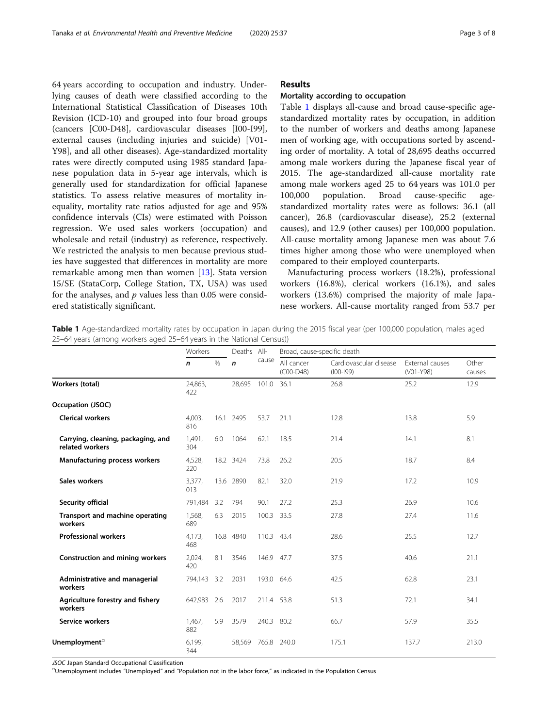64 years according to occupation and industry. Underlying causes of death were classified according to the International Statistical Classification of Diseases 10th Revision (ICD-10) and grouped into four broad groups (cancers [C00-D48], cardiovascular diseases [I00-I99], external causes (including injuries and suicide) [V01- Y98], and all other diseases). Age-standardized mortality rates were directly computed using 1985 standard Japanese population data in 5-year age intervals, which is generally used for standardization for official Japanese statistics. To assess relative measures of mortality inequality, mortality rate ratios adjusted for age and 95% confidence intervals (CIs) were estimated with Poisson regression. We used sales workers (occupation) and wholesale and retail (industry) as reference, respectively. We restricted the analysis to men because previous studies have suggested that differences in mortality are more remarkable among men than women [\[13](#page-7-0)]. Stata version 15/SE (StataCorp, College Station, TX, USA) was used for the analyses, and  $p$  values less than 0.05 were considered statistically significant.

#### Results

#### Mortality according to occupation

Table 1 displays all-cause and broad cause-specific agestandardized mortality rates by occupation, in addition to the number of workers and deaths among Japanese men of working age, with occupations sorted by ascending order of mortality. A total of 28,695 deaths occurred among male workers during the Japanese fiscal year of 2015. The age-standardized all-cause mortality rate among male workers aged 25 to 64 years was 101.0 per 100,000 population. Broad cause-specific agestandardized mortality rates were as follows: 36.1 (all cancer), 26.8 (cardiovascular disease), 25.2 (external causes), and 12.9 (other causes) per 100,000 population. All-cause mortality among Japanese men was about 7.6 times higher among those who were unemployed when compared to their employed counterparts.

Manufacturing process workers (18.2%), professional workers (16.8%), clerical workers (16.1%), and sales workers (13.6%) comprised the majority of male Japanese workers. All-cause mortality ranged from 53.7 per

Table 1 Age-standardized mortality rates by occupation in Japan during the 2015 fiscal year (per 100,000 population, males aged 25–64 years (among workers aged 25–64 years in the National Census))

|                                                       | Workers        |      | Deaths               | $All-$                    | Broad, cause-specific death             |                              |                 |       |  |  |
|-------------------------------------------------------|----------------|------|----------------------|---------------------------|-----------------------------------------|------------------------------|-----------------|-------|--|--|
|                                                       | $\mathsf{n}$   | $\%$ | cause<br>$\mathbf n$ | All cancer<br>$(C00-D48)$ | Cardiovascular disease<br>$(100 - 199)$ | External causes<br>(V01-Y98) | Other<br>causes |       |  |  |
| Workers (total)                                       | 24,863,<br>422 |      | 28,695 101.0 36.1    |                           |                                         | 26.8                         | 25.2            | 12.9  |  |  |
| Occupation (JSOC)                                     |                |      |                      |                           |                                         |                              |                 |       |  |  |
| <b>Clerical workers</b>                               | 4,003,<br>816  |      | 16.1 2495            | 53.7                      | 21.1                                    | 12.8                         | 13.8            | 5.9   |  |  |
| Carrying, cleaning, packaging, and<br>related workers | 1,491,<br>304  | 6.0  | 1064                 | 62.1                      | 18.5                                    | 21.4                         | 14.1            | 8.1   |  |  |
| <b>Manufacturing process workers</b>                  | 4,528,<br>220  |      | 18.2 3424            | 73.8                      | 26.2                                    | 20.5                         | 18.7            | 8.4   |  |  |
| Sales workers                                         | 3,377,<br>013  | 13.6 | 2890                 | 82.1                      | 32.0                                    | 21.9                         | 17.2            | 10.9  |  |  |
| Security official                                     | 791,484        | 3.2  | 794                  | 90.1                      | 27.2                                    | 25.3                         | 26.9            | 10.6  |  |  |
| Transport and machine operating<br>workers            | 1,568,<br>689  | 6.3  | 2015                 | 100.3                     | 33.5                                    | 27.8                         | 27.4            | 11.6  |  |  |
| <b>Professional workers</b>                           | 4,173,<br>468  | 16.8 | 4840                 | 110.3                     | 43.4                                    | 28.6                         | 25.5            | 12.7  |  |  |
| Construction and mining workers                       | 2,024,<br>420  | 8.1  | 3546                 | 146.9 47.7                |                                         | 37.5                         | 40.6            | 21.1  |  |  |
| Administrative and managerial<br>workers              | 794,143 3.2    |      | 2031                 | 193.0                     | 64.6                                    | 42.5                         | 62.8            | 23.1  |  |  |
| Agriculture forestry and fishery<br>workers           | 642,983        | 2.6  | 2017                 | 211.4 53.8                |                                         | 51.3                         | 72.1            | 34.1  |  |  |
| Service workers                                       | 1,467,<br>882  | 5.9  | 3579                 | 240.3                     | 80.2                                    | 66.7                         | 57.9            | 35.5  |  |  |
| Unemployment <sup>1</sup>                             | 6,199,<br>344  |      | 58,569               | 765.8                     | 240.0                                   | 175.1                        | 137.7           | 213.0 |  |  |

JSOC Japan Standard Occupational Classification

Unemployment includes "Unemployed" and "Population not in the labor force," as indicated in the Population Census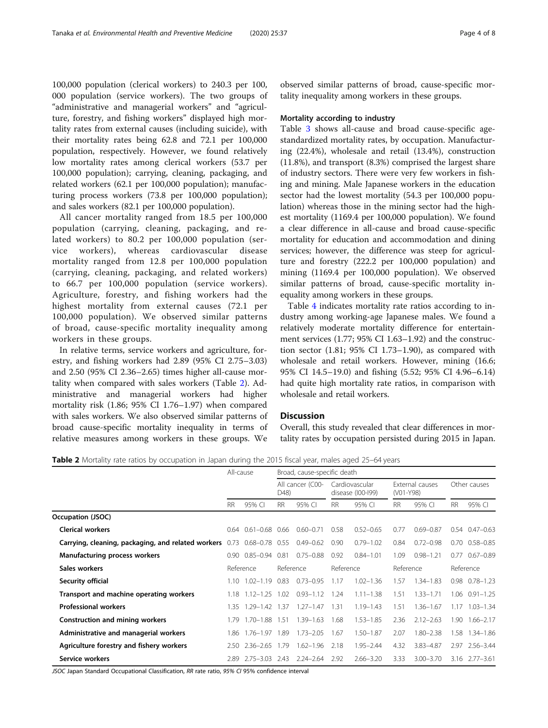100,000 population (clerical workers) to 240.3 per 100, 000 population (service workers). The two groups of "administrative and managerial workers" and "agriculture, forestry, and fishing workers" displayed high mortality rates from external causes (including suicide), with their mortality rates being 62.8 and 72.1 per 100,000 population, respectively. However, we found relatively low mortality rates among clerical workers (53.7 per 100,000 population); carrying, cleaning, packaging, and related workers (62.1 per 100,000 population); manufacturing process workers (73.8 per 100,000 population); and sales workers (82.1 per 100,000 population).

All cancer mortality ranged from 18.5 per 100,000 population (carrying, cleaning, packaging, and related workers) to 80.2 per 100,000 population (service workers), whereas cardiovascular disease mortality ranged from 12.8 per 100,000 population (carrying, cleaning, packaging, and related workers) to 66.7 per 100,000 population (service workers). Agriculture, forestry, and fishing workers had the highest mortality from external causes (72.1 per 100,000 population). We observed similar patterns of broad, cause-specific mortality inequality among workers in these groups.

In relative terms, service workers and agriculture, forestry, and fishing workers had 2.89 (95% CI 2.75–3.03) and 2.50 (95% CI 2.36–2.65) times higher all-cause mortality when compared with sales workers (Table 2). Administrative and managerial workers had higher mortality risk (1.86; 95% CI 1.76–1.97) when compared with sales workers. We also observed similar patterns of broad cause-specific mortality inequality in terms of relative measures among workers in these groups. We observed similar patterns of broad, cause-specific mortality inequality among workers in these groups.

#### Mortality according to industry

Table [3](#page-4-0) shows all-cause and broad cause-specific agestandardized mortality rates, by occupation. Manufacturing (22.4%), wholesale and retail (13.4%), construction (11.8%), and transport (8.3%) comprised the largest share of industry sectors. There were very few workers in fishing and mining. Male Japanese workers in the education sector had the lowest mortality (54.3 per 100,000 population) whereas those in the mining sector had the highest mortality (1169.4 per 100,000 population). We found a clear difference in all-cause and broad cause-specific mortality for education and accommodation and dining services; however, the difference was steep for agriculture and forestry (222.2 per 100,000 population) and mining (1169.4 per 100,000 population). We observed similar patterns of broad, cause-specific mortality inequality among workers in these groups.

Table [4](#page-5-0) indicates mortality rate ratios according to industry among working-age Japanese males. We found a relatively moderate mortality difference for entertainment services (1.77; 95% CI 1.63–1.92) and the construction sector (1.81; 95% CI 1.73–1.90), as compared with wholesale and retail workers. However, mining (16.6; 95% CI 14.5–19.0) and fishing (5.52; 95% CI 4.96–6.14) had quite high mortality rate ratios, in comparison with wholesale and retail workers.

## **Discussion**

Overall, this study revealed that clear differences in mortality rates by occupation persisted during 2015 in Japan.

Table 2 Mortality rate ratios by occupation in Japan during the 2015 fiscal year, males aged 25–64 years

|                                                         | All-cause         |                    | Broad, cause-specific death |               |                                     |               |                              |               |              |                      |
|---------------------------------------------------------|-------------------|--------------------|-----------------------------|---------------|-------------------------------------|---------------|------------------------------|---------------|--------------|----------------------|
|                                                         |                   |                    | All cancer (C00-<br>D48)    |               | Cardiovascular<br>disease (I00-I99) |               | External causes<br>(V01-Y98) |               | Other causes |                      |
|                                                         | <b>RR</b>         | 95% CI             | <b>RR</b>                   | 95% CI        | <b>RR</b>                           | 95% CI        | <b>RR</b>                    | 95% CI        | <b>RR</b>    | 95% CI               |
| Occupation (JSOC)                                       |                   |                    |                             |               |                                     |               |                              |               |              |                      |
| <b>Clerical workers</b>                                 | 0.64              | $0.61 - 0.68$ 0.66 |                             | $0.60 - 0.71$ | 0.58                                | $0.52 - 0.65$ | 0.77                         | $0.69 - 0.87$ |              | $0.54$ $0.47 - 0.63$ |
| Carrying, cleaning, packaging, and related workers 0.73 |                   | $0.68 - 0.78$      | 0.55                        | $0.49 - 0.62$ | 0.90                                | $0.79 - 1.02$ | 0.84                         | $0.72 - 0.98$ | 0.70         | $0.58 - 0.85$        |
| <b>Manufacturing process workers</b>                    | 0.90 <sub>1</sub> | $0.85 - 0.94$      | 0.81                        | $0.75 - 0.88$ | 0.92                                | $0.84 - 1.01$ | 1.09                         | $0.98 - 1.21$ | 0.77         | $0.67 - 0.89$        |
| Sales workers                                           | Reference         |                    | Reference                   |               | Reference                           |               | Reference                    |               | Reference    |                      |
| Security official                                       | 1.10              | $1.02 - 1.19$      | 0.83                        | $0.73 - 0.95$ | 1.17                                | $1.02 - 1.36$ | 1.57                         | $1.34 - 1.83$ |              | 0.98 0.78-1.23       |
| Transport and machine operating workers                 | 1.18              | $1.12 - 1.25$      | 1.02                        | $0.93 - 1.12$ | 1.24                                | $1.11 - 1.38$ | 1.51                         | $1.33 - 1.71$ |              | 1.06 0.91-1.25       |
| <b>Professional workers</b>                             | 1.35              | $1.29 - 1.42$      | 1.37                        | $1.27 - 1.47$ | 1.31                                | $1.19 - 1.43$ | 1.51                         | $1.36 - 1.67$ | 1.17         | $1.03 - 1.34$        |
| <b>Construction and mining workers</b>                  | 1.79              | $1.70 - 1.88$      | 1.51                        | $1.39 - 1.63$ | 1.68                                | $1.53 - 1.85$ | 2.36                         | $2.12 - 2.63$ | 1.90         | $1.66 - 2.17$        |
| Administrative and managerial workers                   | 1.86              | $1.76 - 1.97$      | .89                         | $1.73 - 2.05$ | 1.67                                | $1.50 - 1.87$ | 2.07                         | $1.80 - 2.38$ | 1.58         | 1.34-1.86            |
| Agriculture forestry and fishery workers                | 2.50              | $2.36 - 2.65$      | 1.79                        | $1.62 - 1.96$ | 2.18                                | $1.95 - 2.44$ | 4.32                         | 3.83-4.87     |              | 2.97 2.56-3.44       |
| Service workers                                         | 2.89              | $2.75 - 3.03$      | 2.43                        | $2.24 - 2.64$ | 2.92                                | $2.66 - 3.20$ | 3.33                         | $3.00 - 3.70$ |              | 3.16 2.77-3.61       |

JSOC Japan Standard Occupational Classification, RR rate ratio, 95% CI 95% confidence interval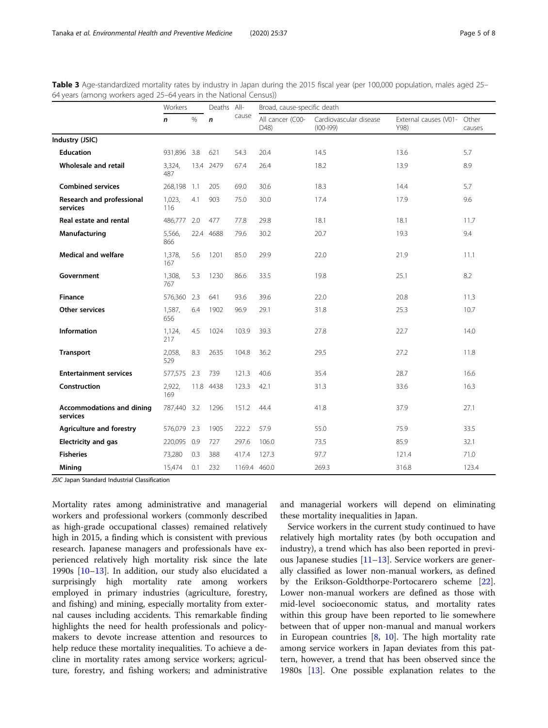|                                              | Workers       |      | Deaths All-  |              | Broad, cause-specific death |                                         |                                     |        |  |  |
|----------------------------------------------|---------------|------|--------------|--------------|-----------------------------|-----------------------------------------|-------------------------------------|--------|--|--|
|                                              | n             | %    | $\mathsf{n}$ | cause        | All cancer (C00-<br>D48)    | Cardiovascular disease<br>$(100 - 199)$ | External causes (V01- Other<br>Y98) | causes |  |  |
| Industry (JSIC)                              |               |      |              |              |                             |                                         |                                     |        |  |  |
| <b>Education</b>                             | 931,896 3.8   |      | 621          | 54.3         | 20.4                        | 14.5                                    | 13.6                                | 5.7    |  |  |
| Wholesale and retail                         | 3,324,<br>487 |      | 13.4 2479    | 67.4         | 26.4                        | 18.2                                    | 13.9                                | 8.9    |  |  |
| <b>Combined services</b>                     | 268,198 1.1   |      | 205          | 69.0         | 30.6                        | 18.3                                    | 14.4                                | 5.7    |  |  |
| Research and professional<br>services        | 1,023,<br>116 | 4.1  | 903          | 75.0         | 30.0                        | 17.4                                    | 17.9                                | 9.6    |  |  |
| Real estate and rental                       | 486,777 2.0   |      | 477          | 77.8         | 29.8                        | 18.1                                    | 18.1                                | 11.7   |  |  |
| Manufacturing                                | 5,566,<br>866 | 22.4 | 4688         | 79.6         | 30.2                        | 20.7                                    | 19.3                                | 9.4    |  |  |
| <b>Medical and welfare</b>                   | 1,378,<br>167 | 5.6  | 1201         | 85.0         | 29.9                        | 22.0                                    | 21.9                                | 11.1   |  |  |
| Government                                   | 1,308,<br>767 | 5.3  | 1230         | 86.6         | 33.5                        | 19.8                                    | 25.1                                | 8.2    |  |  |
| <b>Finance</b>                               | 576,360 2.3   |      | 641          | 93.6         | 39.6                        | 22.0                                    | 20.8                                | 11.3   |  |  |
| <b>Other services</b>                        | 1,587,<br>656 | 6.4  | 1902         | 96.9         | 29.1                        | 31.8                                    | 25.3                                | 10.7   |  |  |
| Information                                  | 1,124,<br>217 | 4.5  | 1024         | 103.9        | 39.3                        | 27.8                                    | 22.7                                | 14.0   |  |  |
| <b>Transport</b>                             | 2,058,<br>529 | 8.3  | 2635         | 104.8        | 36.2                        | 29.5                                    | 27.2                                | 11.8   |  |  |
| <b>Entertainment services</b>                | 577,575 2.3   |      | 739          | 121.3        | 40.6                        | 35.4                                    | 28.7                                | 16.6   |  |  |
| Construction                                 | 2,922,<br>169 |      | 11.8 4438    | 123.3        | 42.1                        | 31.3                                    | 33.6                                | 16.3   |  |  |
| <b>Accommodations and dining</b><br>services | 787,440 3.2   |      | 1296         | 151.2        | 44.4                        | 41.8                                    | 37.9                                | 27.1   |  |  |
| <b>Agriculture and forestry</b>              | 576,079 2.3   |      | 1905         | 222.2        | 57.9                        | 55.0                                    | 75.9                                | 33.5   |  |  |
| <b>Electricity and gas</b>                   | 220,095 0.9   |      | 727          | 297.6        | 106.0                       | 73.5                                    | 85.9                                | 32.1   |  |  |
| <b>Fisheries</b>                             | 73,280        | 0.3  | 388          | 417.4        | 127.3                       | 97.7                                    | 121.4                               | 71.0   |  |  |
| Mining                                       | 15,474        | 0.1  | 232          | 1169.4 460.0 |                             | 269.3                                   | 316.8                               | 123.4  |  |  |

<span id="page-4-0"></span>Table 3 Age-standardized mortality rates by industry in Japan during the 2015 fiscal year (per 100,000 population, males aged 25– 64 years (among workers aged 25–64 years in the National Census))

JSIC Japan Standard Industrial Classification

Mortality rates among administrative and managerial workers and professional workers (commonly described as high-grade occupational classes) remained relatively high in 2015, a finding which is consistent with previous research. Japanese managers and professionals have experienced relatively high mortality risk since the late 1990s [[10](#page-7-0)–[13](#page-7-0)]. In addition, our study also elucidated a surprisingly high mortality rate among workers employed in primary industries (agriculture, forestry, and fishing) and mining, especially mortality from external causes including accidents. This remarkable finding highlights the need for health professionals and policymakers to devote increase attention and resources to help reduce these mortality inequalities. To achieve a decline in mortality rates among service workers; agriculture, forestry, and fishing workers; and administrative

and managerial workers will depend on eliminating these mortality inequalities in Japan.

Service workers in the current study continued to have relatively high mortality rates (by both occupation and industry), a trend which has also been reported in previous Japanese studies [[11](#page-7-0)–[13\]](#page-7-0). Service workers are generally classified as lower non-manual workers, as defined by the Erikson-Goldthorpe-Portocarero scheme [\[22](#page-7-0)]. Lower non-manual workers are defined as those with mid-level socioeconomic status, and mortality rates within this group have been reported to lie somewhere between that of upper non-manual and manual workers in European countries  $[8, 10]$  $[8, 10]$  $[8, 10]$ . The high mortality rate among service workers in Japan deviates from this pattern, however, a trend that has been observed since the 1980s [\[13\]](#page-7-0). One possible explanation relates to the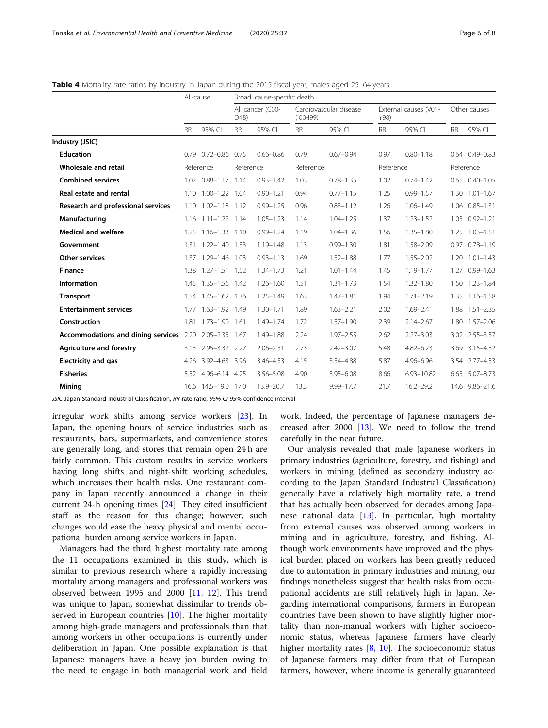|                                                | All-cause |                      | Broad, cause-specific death |               |                                         |               |                               |                |              |                      |  |
|------------------------------------------------|-----------|----------------------|-----------------------------|---------------|-----------------------------------------|---------------|-------------------------------|----------------|--------------|----------------------|--|
|                                                |           |                      | All cancer (C00-<br>D48)    |               | Cardiovascular disease<br>$(100 - 199)$ |               | External causes (V01-<br>Y98) |                | Other causes |                      |  |
|                                                | <b>RR</b> | 95% CI               | <b>RR</b>                   | 95% CI        | <b>RR</b>                               | 95% CI        | <b>RR</b>                     | 95% CI         | <b>RR</b>    | 95% CI               |  |
| Industry (JSIC)                                |           |                      |                             |               |                                         |               |                               |                |              |                      |  |
| <b>Education</b>                               | 0.79      | $0.72 - 0.86$ 0.75   |                             | $0.66 - 0.86$ | 0.79                                    | $0.67 - 0.94$ | 0.97                          | $0.80 - 1.18$  |              | $0.64$ $0.49 - 0.83$ |  |
| Wholesale and retail                           |           | Reference            | Reference                   |               | Reference                               |               | Reference                     |                | Reference    |                      |  |
| <b>Combined services</b>                       |           | 1.02 0.88-1.17 1.14  |                             | $0.93 - 1.42$ | 1.03                                    | $0.78 - 1.35$ | 1.02                          | $0.74 - 1.42$  |              | $0.65$ $0.40 - 1.05$ |  |
| Real estate and rental                         |           | 1.10 1.00-1.22 1.04  |                             | $0.90 - 1.21$ | 0.94                                    | $0.77 - 1.15$ | 1.25                          | $0.99 - 1.57$  |              | $1.30$ $1.01 - 1.67$ |  |
| Research and professional services             | 1.10      | $1.02 - 1.18$        | 1.12                        | $0.99 - 1.25$ | 0.96                                    | $0.83 - 1.12$ | 1.26                          | $1.06 - 1.49$  | 1.06         | $0.85 - 1.31$        |  |
| Manufacturing                                  | 1.16      | $1.11 - 1.22$ $1.14$ |                             | $1.05 - 1.23$ | 1.14                                    | $1.04 - 1.25$ | 1.37                          | $1.23 - 1.52$  | 1.05         | $0.92 - 1.21$        |  |
| <b>Medical and welfare</b>                     | 1.25      | $1.16 - 1.33$ $1.10$ |                             | $0.99 - 1.24$ | 1.19                                    | $1.04 - 1.36$ | 1.56                          | $1.35 - 1.80$  | 1.25         | $1.03 - 1.51$        |  |
| Government                                     | 1.31      | $1.22 - 1.40$ $1.33$ |                             | $1.19 - 1.48$ | 1.13                                    | $0.99 - 1.30$ | 1.81                          | $1.58 - 2.09$  |              | 0.97 0.78-1.19       |  |
| <b>Other services</b>                          |           | 1.37 1.29-1.46 1.03  |                             | $0.93 - 1.13$ | 1.69                                    | $1.52 - 1.88$ | 1.77                          | $1.55 - 2.02$  |              | $1.20$ $1.01 - 1.43$ |  |
| <b>Finance</b>                                 | 1.38      | $1.27 - 1.51$ 1.52   |                             | $1.34 - 1.73$ | 1.21                                    | $1.01 - 1.44$ | 1.45                          | $1.19 - 1.77$  | 1.27         | $0.99 - 1.63$        |  |
| <b>Information</b>                             | 1.45      | 1.35-1.56 1.42       |                             | $1.26 - 1.60$ | 1.51                                    | $1.31 - 1.73$ | 1.54                          | $1.32 - 1.80$  | 1.50         | $1.23 - 1.84$        |  |
| <b>Transport</b>                               | 1.54      | 1.45-1.62 1.36       |                             | $1.25 - 1.49$ | 1.63                                    | $1.47 - 1.81$ | 1.94                          | $1.71 - 2.19$  |              | 1.35 1.16-1.58       |  |
| <b>Entertainment services</b>                  | 1.77      | 1.63-1.92 1.49       |                             | $1.30 - 1.71$ | 1.89                                    | $1.63 - 2.21$ | 2.02                          | $1.69 - 2.41$  | 1.88         | $1.51 - 2.35$        |  |
| Construction                                   |           | 1.81 1.73-1.90 1.61  |                             | $1.49 - 1.74$ | 1.72                                    | $1.57 - 1.90$ | 2.39                          | $2.14 - 2.67$  |              | 1.80 1.57-2.06       |  |
| <b>Accommodations and dining services</b> 2.20 |           | $2.05 - 2.35$        | - 1.67                      | $1.49 - 1.88$ | 2.24                                    | $1.97 - 2.55$ | 2.62                          | $2.27 - 3.03$  |              | 3.02 2.55-3.57       |  |
| <b>Agriculture and forestry</b>                | 3.13      | 2.95-3.32 2.27       |                             | $2.06 - 2.51$ | 2.73                                    | $2.42 - 3.07$ | 5.48                          | $4.82 - 6.23$  | 3.69         | 3.15-4.32            |  |
| <b>Electricity and gas</b>                     | 4.26      | 3.92-4.63 3.96       |                             | $3.46 - 4.53$ | 4.15                                    | 3.54-4.88     | 5.87                          | $4.96 - 6.96$  |              | 3.54 2.77-4.53       |  |
| <b>Fisheries</b>                               | 5.52      | 4.96-6.14 4.25       |                             | $3.56 - 5.08$ | 4.90                                    | $3.95 - 6.08$ | 8.66                          | $6.93 - 10.82$ |              | 6.65 5.07-8.73       |  |
| Mining                                         |           | 16.6 14.5-19.0 17.0  |                             | 13.9-20.7     | 13.3                                    | 9.99-17.7     | 21.7                          | $16.2 - 29.2$  |              | 14.6 9.86-21.6       |  |

<span id="page-5-0"></span>Table 4 Mortality rate ratios by industry in Japan during the 2015 fiscal year, males aged 25-64 years

JSIC Japan Standard Industrial Classification, RR rate ratio, 95% CI 95% confidence interval

irregular work shifts among service workers [[23\]](#page-7-0). In Japan, the opening hours of service industries such as restaurants, bars, supermarkets, and convenience stores are generally long, and stores that remain open 24 h are fairly common. This custom results in service workers having long shifts and night-shift working schedules, which increases their health risks. One restaurant company in Japan recently announced a change in their current 24-h opening times [[24](#page-7-0)]. They cited insufficient staff as the reason for this change; however, such changes would ease the heavy physical and mental occupational burden among service workers in Japan.

Managers had the third highest mortality rate among the 11 occupations examined in this study, which is similar to previous research where a rapidly increasing mortality among managers and professional workers was observed between 1995 and 2000  $[11, 12]$  $[11, 12]$  $[11, 12]$  $[11, 12]$  $[11, 12]$ . This trend was unique to Japan, somewhat dissimilar to trends observed in European countries [\[10\]](#page-7-0). The higher mortality among high-grade managers and professionals than that among workers in other occupations is currently under deliberation in Japan. One possible explanation is that Japanese managers have a heavy job burden owing to the need to engage in both managerial work and field work. Indeed, the percentage of Japanese managers decreased after 2000 [\[13](#page-7-0)]. We need to follow the trend carefully in the near future.

Our analysis revealed that male Japanese workers in primary industries (agriculture, forestry, and fishing) and workers in mining (defined as secondary industry according to the Japan Standard Industrial Classification) generally have a relatively high mortality rate, a trend that has actually been observed for decades among Japanese national data  $[13]$ . In particular, high mortality from external causes was observed among workers in mining and in agriculture, forestry, and fishing. Although work environments have improved and the physical burden placed on workers has been greatly reduced due to automation in primary industries and mining, our findings nonetheless suggest that health risks from occupational accidents are still relatively high in Japan. Regarding international comparisons, farmers in European countries have been shown to have slightly higher mortality than non-manual workers with higher socioeconomic status, whereas Japanese farmers have clearly higher mortality rates [\[8](#page-7-0), [10\]](#page-7-0). The socioeconomic status of Japanese farmers may differ from that of European farmers, however, where income is generally guaranteed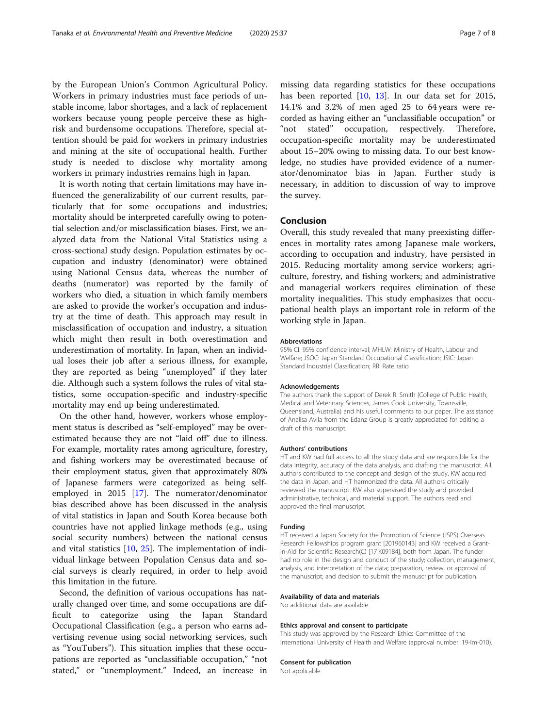by the European Union's Common Agricultural Policy. Workers in primary industries must face periods of unstable income, labor shortages, and a lack of replacement workers because young people perceive these as highrisk and burdensome occupations. Therefore, special attention should be paid for workers in primary industries and mining at the site of occupational health. Further study is needed to disclose why mortality among workers in primary industries remains high in Japan.

It is worth noting that certain limitations may have influenced the generalizability of our current results, particularly that for some occupations and industries; mortality should be interpreted carefully owing to potential selection and/or misclassification biases. First, we analyzed data from the National Vital Statistics using a cross-sectional study design. Population estimates by occupation and industry (denominator) were obtained using National Census data, whereas the number of deaths (numerator) was reported by the family of workers who died, a situation in which family members are asked to provide the worker's occupation and industry at the time of death. This approach may result in misclassification of occupation and industry, a situation which might then result in both overestimation and underestimation of mortality. In Japan, when an individual loses their job after a serious illness, for example, they are reported as being "unemployed" if they later die. Although such a system follows the rules of vital statistics, some occupation-specific and industry-specific mortality may end up being underestimated.

On the other hand, however, workers whose employment status is described as "self-employed" may be overestimated because they are not "laid off" due to illness. For example, mortality rates among agriculture, forestry, and fishing workers may be overestimated because of their employment status, given that approximately 80% of Japanese farmers were categorized as being selfemployed in 2015 [\[17](#page-7-0)]. The numerator/denominator bias described above has been discussed in the analysis of vital statistics in Japan and South Korea because both countries have not applied linkage methods (e.g., using social security numbers) between the national census and vital statistics [\[10](#page-7-0), [25\]](#page-7-0). The implementation of individual linkage between Population Census data and social surveys is clearly required, in order to help avoid this limitation in the future.

Second, the definition of various occupations has naturally changed over time, and some occupations are difficult to categorize using the Japan Standard Occupational Classification (e.g., a person who earns advertising revenue using social networking services, such as "YouTubers"). This situation implies that these occupations are reported as "unclassifiable occupation," "not stated," or "unemployment." Indeed, an increase in

missing data regarding statistics for these occupations has been reported [[10,](#page-7-0) [13\]](#page-7-0). In our data set for 2015, 14.1% and 3.2% of men aged 25 to 64 years were recorded as having either an "unclassifiable occupation" or "not stated" occupation, respectively. Therefore, occupation-specific mortality may be underestimated about 15–20% owing to missing data. To our best knowledge, no studies have provided evidence of a numerator/denominator bias in Japan. Further study is necessary, in addition to discussion of way to improve the survey.

#### Conclusion

Overall, this study revealed that many preexisting differences in mortality rates among Japanese male workers, according to occupation and industry, have persisted in 2015. Reducing mortality among service workers; agriculture, forestry, and fishing workers; and administrative and managerial workers requires elimination of these mortality inequalities. This study emphasizes that occupational health plays an important role in reform of the working style in Japan.

#### Abbreviations

95% CI: 95% confidence interval; MHLW: Ministry of Health, Labour and Welfare; JSOC: Japan Standard Occupational Classification; JSIC: Japan Standard Industrial Classification; RR: Rate ratio

#### Acknowledgements

The authors thank the support of Derek R. Smith (College of Public Health, Medical and Veterinary Sciences, James Cook University, Townsville, Queensland, Australia) and his useful comments to our paper. The assistance of Analisa Avila from the Edanz Group is greatly appreciated for editing a draft of this manuscript.

#### Authors' contributions

HT and KW had full access to all the study data and are responsible for the data integrity, accuracy of the data analysis, and drafting the manuscript. All authors contributed to the concept and design of the study. KW acquired the data in Japan, and HT harmonized the data. All authors critically reviewed the manuscript. KW also supervised the study and provided administrative, technical, and material support. The authors read and approved the final manuscript.

#### Funding

HT received a Japan Society for the Promotion of Science (JSPS) Overseas Research Fellowships program grant [201960143] and KW received a Grantin-Aid for Scientific Research(C) [17 K09184], both from Japan. The funder had no role in the design and conduct of the study; collection, management, analysis, and interpretation of the data; preparation, review, or approval of the manuscript; and decision to submit the manuscript for publication.

#### Availability of data and materials

No additional data are available.

#### Ethics approval and consent to participate

This study was approved by the Research Ethics Committee of the International University of Health and Welfare (approval number: 19-Im-010).

#### Consent for publication

Not applicable